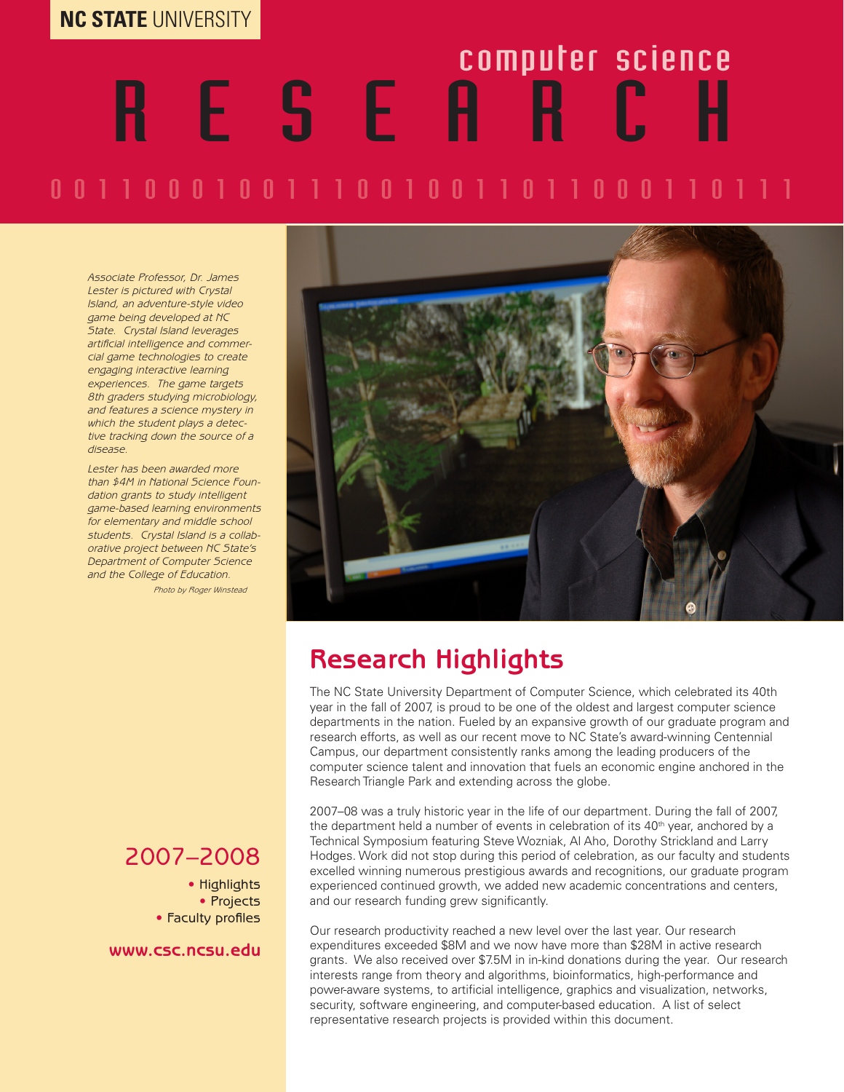### **NC STATE** UNIVERSITY

# 0 0 1 1 0 0 0 1 0 0 1 1 1 0 0 1 0 0 1 1 0 1 1 0 0 0 1 1 0 1 1 1 R E S E A R C H computer science

*Associate Professor, Dr. James Lester is pictured with Crystal Island, an adventure-style video game being developed at NC State. Crystal Island leverages artificial intelligence and commercial game technologies to create engaging interactive learning experiences. The game targets 8th graders studying microbiology, and features a science mystery in which the student plays a detective tracking down the source of a disease.* 

*Lester has been awarded more than \$4M in National Science Foundation grants to study intelligent game-based learning environments for elementary and middle school students. Crystal Island is a collaborative project between NC State's Department of Computer Science and the College of Education.*

*Photo by Roger Winstead*



### **Research Highlights**

The NC State University Department of Computer Science, which celebrated its 40th year in the fall of 2007, is proud to be one of the oldest and largest computer science departments in the nation. Fueled by an expansive growth of our graduate program and research efforts, as well as our recent move to NC State's award-winning Centennial Campus, our department consistently ranks among the leading producers of the computer science talent and innovation that fuels an economic engine anchored in the Research Triangle Park and extending across the globe.

2007–08 was a truly historic year in the life of our department. During the fall of 2007, the department held a number of events in celebration of its  $40<sup>th</sup>$  year, anchored by a Technical Symposium featuring Steve Wozniak, Al Aho, Dorothy Strickland and Larry Hodges. Work did not stop during this period of celebration, as our faculty and students excelled winning numerous prestigious awards and recognitions, our graduate program experienced continued growth, we added new academic concentrations and centers, and our research funding grew significantly.

Our research productivity reached a new level over the last year. Our research expenditures exceeded \$8M and we now have more than \$28M in active research grants. We also received over \$7.5M in in-kind donations during the year. Our research interests range from theory and algorithms, bioinformatics, high-performance and power-aware systems, to artificial intelligence, graphics and visualization, networks, security, software engineering, and computer-based education. A list of select representative research projects is provided within this document.

### 2007–2008

• Highlights • Projects • Faculty profiles

**www.csc.ncsu.edu**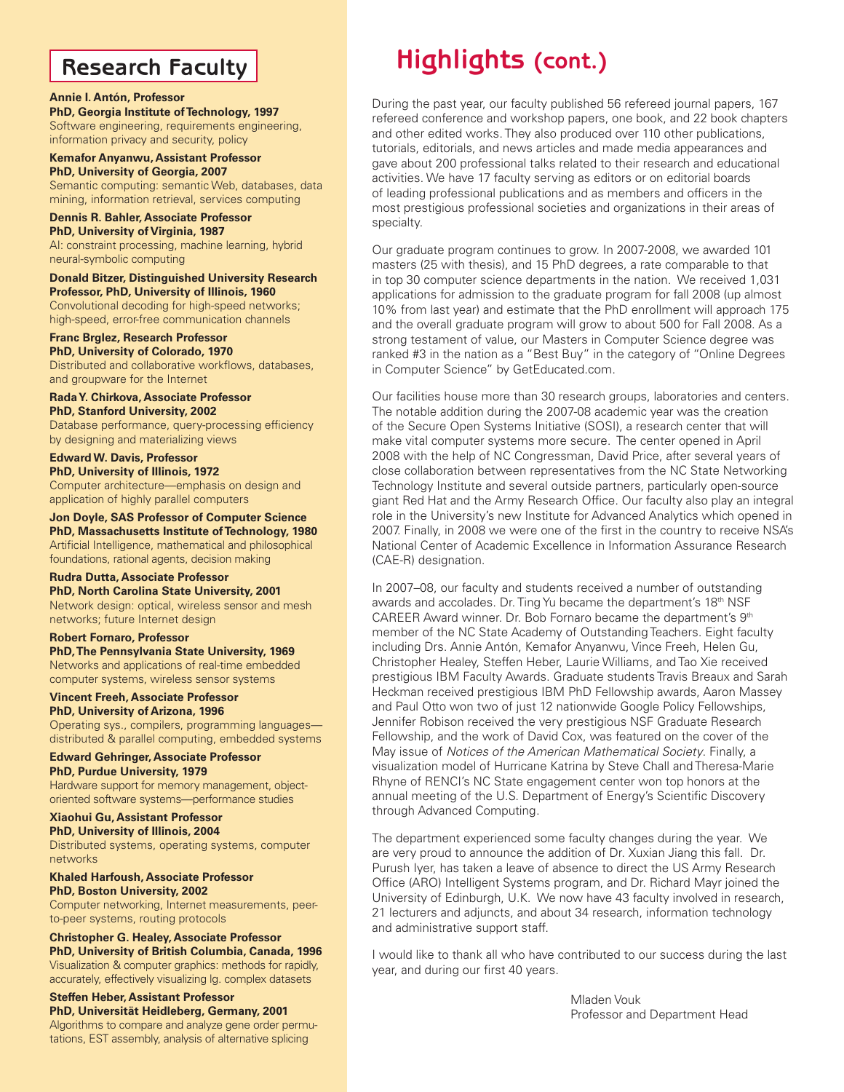### **Research Faculty**

#### **Annie I. Antón, Professor**

**PhD, Georgia Institute of Technology, 1997** Software engineering, requirements engineering, information privacy and security, policy

#### **Kemafor Anyanwu, Assistant Professor PhD, University of Georgia, 2007** Semantic computing: semantic Web, databases, data

mining, information retrieval, services computing **Dennis R. Bahler, Associate Professor**

**PhD, University of Virginia, 1987** AI: constraint processing, machine learning, hybrid neural-symbolic computing

#### **Donald Bitzer, Distinguished University Research Professor, PhD, University of Illinois, 1960** Convolutional decoding for high-speed networks;

high-speed, error-free communication channels

#### **Franc Brglez, Research Professor PhD, University of Colorado, 1970**

Distributed and collaborative workflows, databases, and groupware for the Internet

**Rada Y. Chirkova, Associate Professor PhD, Stanford University, 2002** Database performance, query-processing efficiency by designing and materializing views

### **Edward W. Davis, Professor**

**PhD, University of Illinois, 1972** Computer architecture—emphasis on design and application of highly parallel computers

**Jon Doyle, SAS Professor of Computer Science PhD, Massachusetts Institute of Technology, 1980** Artificial Intelligence, mathematical and philosophical foundations, rational agents, decision making

#### **Rudra Dutta, Associate Professor PhD, North Carolina State University, 2001**

Network design: optical, wireless sensor and mesh networks; future Internet design

#### **Robert Fornaro, Professor PhD, The Pennsylvania State University, 1969**

Networks and applications of real-time embedded computer systems, wireless sensor systems

#### **Vincent Freeh, Associate Professor PhD, University of Arizona, 1996**

Operating sys., compilers, programming languages distributed & parallel computing, embedded systems

**Edward Gehringer, Associate Professor PhD, Purdue University, 1979**

Hardware support for memory management, objectoriented software systems—performance studies

#### **Xiaohui Gu, Assistant Professor PhD, University of Illinois, 2004**

Distributed systems, operating systems, computer networks

### **Khaled Harfoush, Associate Professor PhD, Boston University, 2002**

Computer networking, Internet measurements, peerto-peer systems, routing protocols

#### **Christopher G. Healey, Associate Professor PhD, University of British Columbia, Canada, 1996**

Visualization & computer graphics: methods for rapidly, accurately, effectively visualizing lg. complex datasets

#### **Steffen Heber, Assistant Professor**

**PhD, Universität Heidleberg, Germany, 2001** Algorithms to compare and analyze gene order permutations, EST assembly, analysis of alternative splicing

## **Highlights (cont.)**

During the past year, our faculty published 56 refereed journal papers, 167 refereed conference and workshop papers, one book, and 22 book chapters and other edited works. They also produced over 110 other publications, tutorials, editorials, and news articles and made media appearances and gave about 200 professional talks related to their research and educational activities. We have 17 faculty serving as editors or on editorial boards of leading professional publications and as members and officers in the most prestigious professional societies and organizations in their areas of specialty.

Our graduate program continues to grow. In 2007-2008, we awarded 101 masters (25 with thesis), and 15 PhD degrees, a rate comparable to that in top 30 computer science departments in the nation. We received 1,031 applications for admission to the graduate program for fall 2008 (up almost 10% from last year) and estimate that the PhD enrollment will approach 175 and the overall graduate program will grow to about 500 for Fall 2008. As a strong testament of value, our Masters in Computer Science degree was ranked #3 in the nation as a "Best Buy" in the category of "Online Degrees in Computer Science" by GetEducated.com.

Our facilities house more than 30 research groups, laboratories and centers. The notable addition during the 2007-08 academic year was the creation of the Secure Open Systems Initiative (SOSI), a research center that will make vital computer systems more secure. The center opened in April 2008 with the help of NC Congressman, David Price, after several years of close collaboration between representatives from the NC State Networking Technology Institute and several outside partners, particularly open-source giant Red Hat and the Army Research Office. Our faculty also play an integral role in the University's new Institute for Advanced Analytics which opened in 2007. Finally, in 2008 we were one of the first in the country to receive NSA's National Center of Academic Excellence in Information Assurance Research (CAE-R) designation.

In 2007–08, our faculty and students received a number of outstanding awards and accolades. Dr. Ting Yu became the department's 18<sup>th</sup> NSF CAREER Award winner. Dr. Bob Fornaro became the department's 9th member of the NC State Academy of Outstanding Teachers. Eight faculty including Drs. Annie Antón, Kemafor Anyanwu, Vince Freeh, Helen Gu, Christopher Healey, Steffen Heber, Laurie Williams, and Tao Xie received prestigious IBM Faculty Awards. Graduate students Travis Breaux and Sarah Heckman received prestigious IBM PhD Fellowship awards, Aaron Massey and Paul Otto won two of just 12 nationwide Google Policy Fellowships, Jennifer Robison received the very prestigious NSF Graduate Research Fellowship, and the work of David Cox, was featured on the cover of the May issue of *Notices of the American Mathematical Society*. Finally, a visualization model of Hurricane Katrina by Steve Chall and Theresa-Marie Rhyne of RENCI's NC State engagement center won top honors at the annual meeting of the U.S. Department of Energy's Scientific Discovery through Advanced Computing.

The department experienced some faculty changes during the year. We are very proud to announce the addition of Dr. Xuxian Jiang this fall. Dr. Purush Iyer, has taken a leave of absence to direct the US Army Research Office (ARO) Intelligent Systems program, and Dr. Richard Mayr joined the University of Edinburgh, U.K. We now have 43 faculty involved in research, 21 lecturers and adjuncts, and about 34 research, information technology and administrative support staff.

I would like to thank all who have contributed to our success during the last year, and during our first 40 years.

> Mladen Vouk Professor and Department Head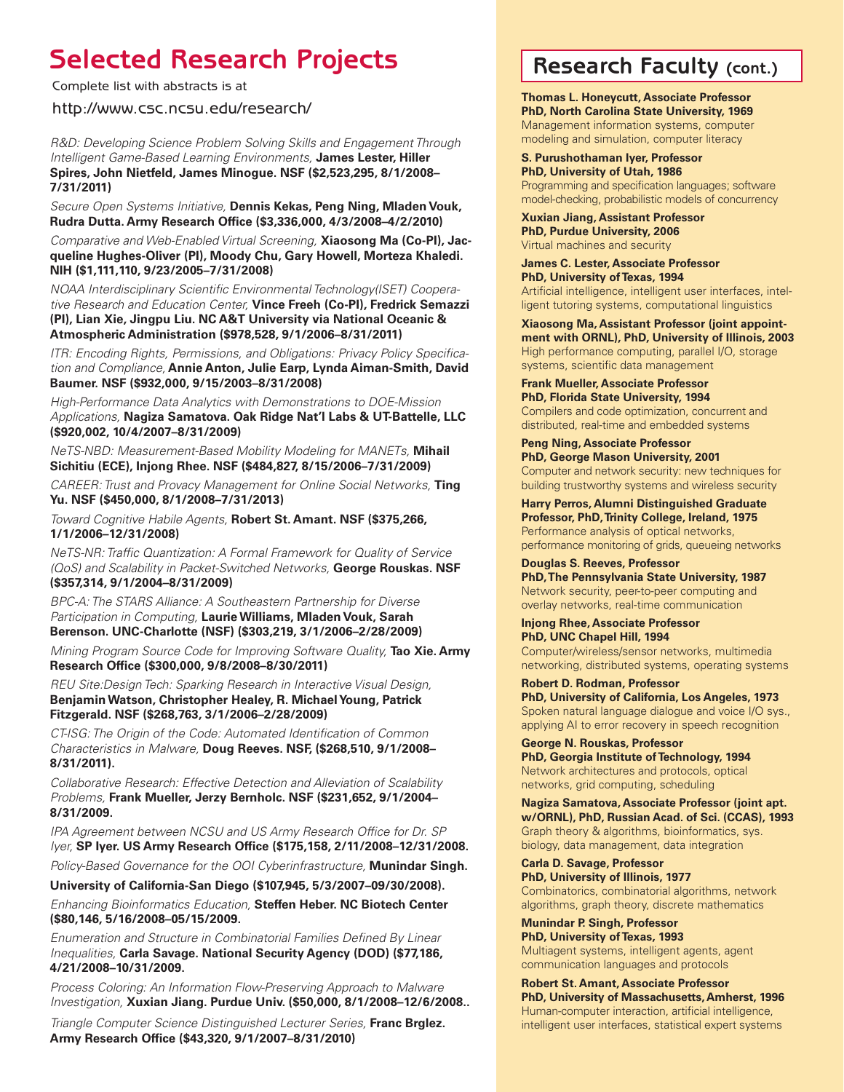### **Selected Research Projects Research Faculty (cont.)**

Complete list with abstracts is at

http://www.csc.ncsu.edu/research/

*R&D: Developing Science Problem Solving Skills and Engagement Through Intelligent Game-Based Learning Environments,* **James Lester, Hiller Spires, John Nietfeld, James Minogue. NSF (\$2,523,295, 8/1/2008– 7/31/2011)** 

*Secure Open Systems Initiative,* **Dennis Kekas, Peng Ning, Mladen Vouk, Rudra Dutta. Army Research Office (\$3,336,000, 4/3/2008–4/2/2010)**

*Comparative and Web-Enabled Virtual Screening,* **Xiaosong Ma (Co-PI), Jacqueline Hughes-Oliver (PI), Moody Chu, Gary Howell, Morteza Khaledi. NIH (\$1,111,110, 9/23/2005–7/31/2008)** 

*NOAA Interdisciplinary Scientific Environmental Technology(ISET) Cooperative Research and Education Center,* **Vince Freeh (Co-PI), Fredrick Semazzi (PI), Lian Xie, Jingpu Liu. NC A&T University via National Oceanic & Atmospheric Administration (\$978,528, 9/1/2006–8/31/2011)** 

*ITR: Encoding Rights, Permissions, and Obligations: Privacy Policy Specification and Compliance,* **Annie Anton, Julie Earp, Lynda Aiman-Smith, David Baumer. NSF (\$932,000, 9/15/2003–8/31/2008)** 

*High-Performance Data Analytics with Demonstrations to DOE-Mission Applications,* **Nagiza Samatova. Oak Ridge Nat'l Labs & UT-Battelle, LLC (\$920,002, 10/4/2007–8/31/2009)**

*NeTS-NBD: Measurement-Based Mobility Modeling for MANETs,* **Mihail Sichitiu (ECE), Injong Rhee. NSF (\$484,827, 8/15/2006–7/31/2009)** 

*CAREER: Trust and Provacy Management for Online Social Networks,* **Ting Yu. NSF (\$450,000, 8/1/2008–7/31/2013)**

*Toward Cognitive Habile Agents,* **Robert St. Amant. NSF (\$375,266, 1/1/2006–12/31/2008)**

*NeTS-NR: Traffic Quantization: A Formal Framework for Quality of Service (QoS) and Scalability in Packet-Switched Networks,* **George Rouskas. NSF (\$357,314, 9/1/2004–8/31/2009)**

*BPC-A: The STARS Alliance: A Southeastern Partnership for Diverse Participation in Computing,* **Laurie Williams, Mladen Vouk, Sarah Berenson. UNC-Charlotte (NSF) (\$303,219, 3/1/2006–2/28/2009)**

*Mining Program Source Code for Improving Software Quality,* **Tao Xie. Army Research Office (\$300,000, 9/8/2008–8/30/2011)**

*REU Site:Design Tech: Sparking Research in Interactive Visual Design,*  **Benjamin Watson, Christopher Healey, R. Michael Young, Patrick Fitzgerald. NSF (\$268,763, 3/1/2006–2/28/2009)**

*CT-ISG: The Origin of the Code: Automated Identification of Common Characteristics in Malware,* **Doug Reeves. NSF, (\$268,510, 9/1/2008– 8/31/2011).**

*Collaborative Research: Effective Detection and Alleviation of Scalability Problems,* **Frank Mueller, Jerzy Bernholc. NSF (\$231,652, 9/1/2004– 8/31/2009.**

*IPA Agreement between NCSU and US Army Research Office for Dr. SP Iyer,* **SP Iyer. US Army Research Office (\$175,158, 2/11/2008–12/31/2008.**

*Policy-Based Governance for the OOI Cyberinfrastructure,* **Munindar Singh.** 

**University of California-San Diego (\$107,945, 5/3/2007–09/30/2008).**

*Enhancing Bioinformatics Education,* **Steffen Heber. NC Biotech Center (\$80,146, 5/16/2008–05/15/2009.**

*Enumeration and Structure in Combinatorial Families Defined By Linear Inequalities,* **Carla Savage. National Security Agency (DOD) (\$77,186, 4/21/2008–10/31/2009.**

*Process Coloring: An Information Flow-Preserving Approach to Malware Investigation,* **Xuxian Jiang. Purdue Univ. (\$50,000, 8/1/2008–12/6/2008..**

*Triangle Computer Science Distinguished Lecturer Series,* **Franc Brglez. Army Research Office (\$43,320, 9/1/2007–8/31/2010)**

**Thomas L. Honeycutt, Associate Professor PhD, North Carolina State University, 1969** Management information systems, computer modeling and simulation, computer literacy

**S. Purushothaman Iyer, Professor PhD, University of Utah, 1986** Programming and specification languages; software model-checking, probabilistic models of concurrency

**Xuxian Jiang, Assistant Professor PhD, Purdue University, 2006** Virtual machines and security

**James C. Lester, Associate Professor PhD, University of Texas, 1994** Artificial intelligence, intelligent user interfaces, intelligent tutoring systems, computational linguistics

**Xiaosong Ma, Assistant Professor (joint appointment with ORNL), PhD, University of Illinois, 2003** High performance computing, parallel I/O, storage systems, scientific data management

**Frank Mueller, Associate Professor PhD, Florida State University, 1994** Compilers and code optimization, concurrent and distributed, real-time and embedded systems

**Peng Ning, Associate Professor PhD, George Mason University, 2001** Computer and network security: new techniques for building trustworthy systems and wireless security

**Harry Perros, Alumni Distinguished Graduate Professor, PhD, Trinity College, Ireland, 1975** Performance analysis of optical networks, performance monitoring of grids, queueing networks

**Douglas S. Reeves, Professor PhD, The Pennsylvania State University, 1987** Network security, peer-to-peer computing and overlay networks, real-time communication

**Injong Rhee, Associate Professor PhD, UNC Chapel Hill, 1994** Computer/wireless/sensor networks, multimedia networking, distributed systems, operating systems

**Robert D. Rodman, Professor PhD, University of California, Los Angeles, 1973** Spoken natural language dialogue and voice I/O sys., applying AI to error recovery in speech recognition

**George N. Rouskas, Professor PhD, Georgia Institute of Technology, 1994** Network architectures and protocols, optical networks, grid computing, scheduling

**Nagiza Samatova, Associate Professor (joint apt. w/ORNL), PhD, Russian Acad. of Sci. (CCAS), 1993** Graph theory & algorithms, bioinformatics, sys. biology, data management, data integration

**Carla D. Savage, Professor PhD, University of Illinois, 1977** Combinatorics, combinatorial algorithms, network algorithms, graph theory, discrete mathematics

**Munindar P. Singh, Professor PhD, University of Texas, 1993** Multiagent systems, intelligent agents, agent communication languages and protocols

**Robert St. Amant, Associate Professor PhD, University of Massachusetts, Amherst, 1996** Human-computer interaction, artificial intelligence, intelligent user interfaces, statistical expert systems